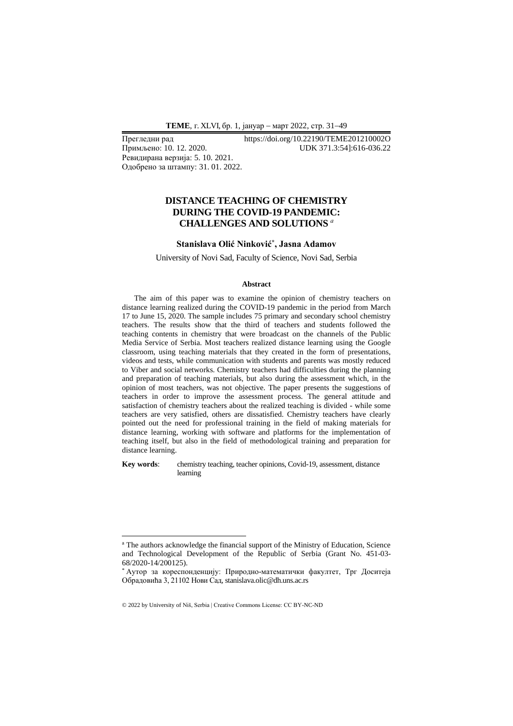**ТEME**, г. XLVI, бр. 1, јануар − март 2022, стр. 31−49

Ревидирана верзија: 5. 10. 2021. Одобрено за штампу: 31. 01. 2022.

Прегледни рад https://doi.org/10.22190/TEME201210002O<br>Примљено: 10. 12. 2020. UDK 371.3:541:616-036.22 Примљено: 10. 12. 2020. UDK 371.3:54]:616-036.22

# **DISTANCE TEACHING OF CHEMISTRY DURING THE COVID-19 PANDEMIC: CHALLENGES AND SOLUTIONS** *<sup>а</sup>*

### **Stanislava Olić Ninković\* , Jasna Adamov**

University of Novi Sad, Faculty of Science, Novi Sad, Serbia

#### **Abstract**

The aim of this paper was to examine the opinion of chemistry teachers on distance learning realized during the COVID-19 pandemic in the period from March 17 to June 15, 2020. The sample includes 75 primary and secondary school chemistry teachers. The results show that the third of teachers and students followed the teaching contents in chemistry that were broadcast on the channels of the Public Media Service of Serbia. Most teachers realized distance learning using the Google classroom, using teaching materials that they created in the form of presentations, videos and tests, while communication with students and parents was mostly reduced to Viber and social networks. Chemistry teachers had difficulties during the planning and preparation of teaching materials, but also during the assessment which, in the opinion of most teachers, was not objective. The paper presents the suggestions of teachers in order to improve the assessment process. The general attitude and satisfaction of chemistry teachers about the realized teaching is divided - while some teachers are very satisfied, others are dissatisfied. Chemistry teachers have clearly pointed out the need for professional training in the field of making materials for distance learning, working with software and platforms for the implementation of teaching itself, but also in the field of methodological training and preparation for distance learning.

**Key words**: chemistry teaching, teacher opinions, Covid-19, assessment, distance learning

<sup>&</sup>lt;sup>a</sup> The authors acknowledge the financial support of the Ministry of Education, Science and Technological Development of the Republic of Serbia (Grant No. 451-03- 68/2020-14/200125).

<sup>\*</sup> Аутор за кореспонденцију: Природно-математички факултет, Трг Доситеја Обрадовића 3, 21102 Нови Сад, stanislava.olic@dh.uns.ac.rs

<sup>© 2022</sup> by University of Niš, Serbia | Creative Commons License: CC BY-NC-ND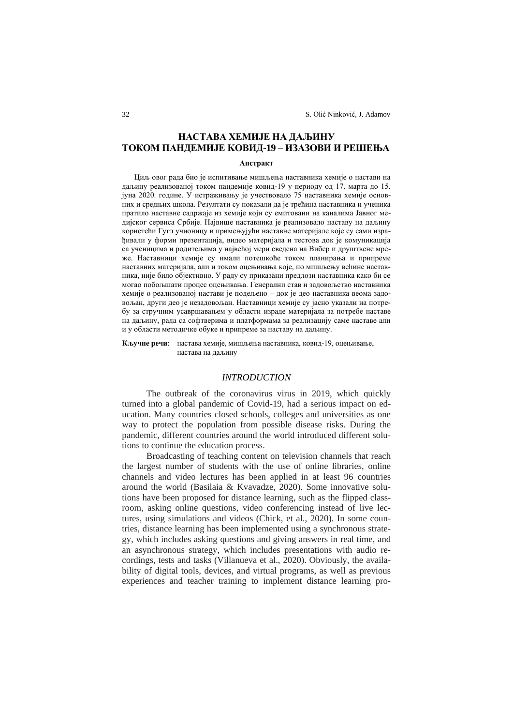# **НАСТАВА ХЕМИЈЕ НА ДАЉИНУ ТОКОМ ПАНДЕМИЈЕ KОВИД-19 – ИЗАЗОВИ И РЕШЕЊА**

#### **Апстракт**

Циљ овог рада био је испитивање мишљења наставника хемије о настави на даљину реализованој током пандемије ковид-19 у периоду од 17. марта до 15. јуна 2020. године. У истраживању је учествовало 75 наставника хемије основних и средњих школа. Резултати су показали да је трећина наставника и ученика пратило наставне садржаје из хемије који су емитовани на каналима Јавног медијског сервиса Србије. Највише наставника је реализовало наставу на даљину користећи Гугл учионицу и примењујући наставне материјале које су сами израђивали у форми презентација, видео материјала и тестова док је комуникација са ученицима и родитељима у највећој мери сведена на Вибер и друштвене мреже. Наставници хемије су имали потешкоће током планирања и припреме наставних материјала, али и током оцењивања које, по мишљењу већине наставника, није било објективно. У раду су приказани предлози наставника како би се могао побољшати процес оцењивања. Генерални став и задовољство наставника хемије о реализованој настави је подељено – док је део наставника веома задовољан, други део је незадовољан. Наставници хемије су јасно указали на потребу за стручним усавршавањем у области израде материјала за потребе наставе на даљину, рада са софтверима и платформама за реализацију саме наставе али и у области методичке обуке и припреме за наставу на даљину.

**Кључне речи**: настава хемије, мишљења наставника, ковид-19, оцењивање, настава на даљину

### *INTRODUCTION*

The outbreak of the coronavirus virus in 2019, which quickly turned into a global pandemic of Covid-19, had a serious impact on education. Many countries closed schools, colleges and universities as one way to protect the population from possible disease risks. During the pandemic, different countries around the world introduced different solutions to continue the education process.

Broadcasting of teaching content on television channels that reach the largest number of students with the use of online libraries, online channels and video lectures has been applied in at least 96 countries around the world (Basilaia & Kvavadze, 2020). Some innovative solutions have been proposed for distance learning, such as the flipped classroom, asking online questions, video conferencing instead of live lectures, using simulations and videos (Chick, et al., 2020). In some countries, distance learning has been implemented using a synchronous strategy, which includes asking questions and giving answers in real time, and an asynchronous strategy, which includes presentations with audio recordings, tests and tasks (Villanueva et al., 2020). Obviously, the availability of digital tools, devices, and virtual programs, as well as previous experiences and teacher training to implement distance learning pro-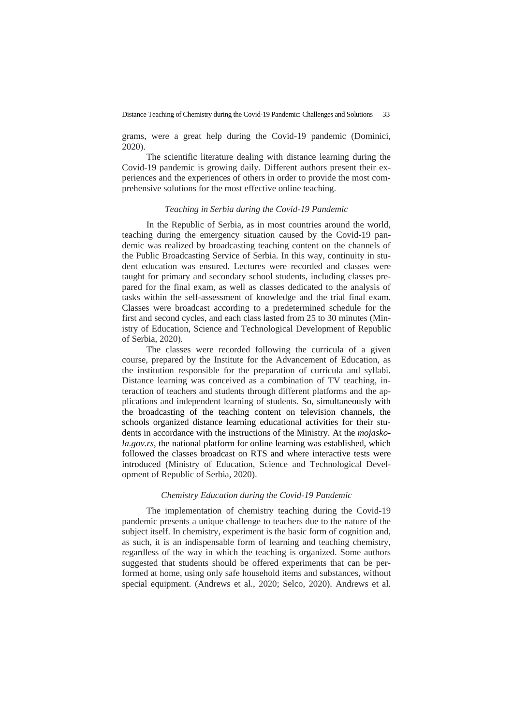grams, were a great help during the Covid-19 pandemic (Dominici, 2020).

The scientific literature dealing with distance learning during the Covid-19 pandemic is growing daily. Different authors present their experiences and the experiences of others in order to provide the most comprehensive solutions for the most effective online teaching.

### *Teaching in Serbia during the Covid-19 Pandemic*

In the Republic of Serbia, as in most countries around the world, teaching during the emergency situation caused by the Covid-19 pandemic was realized by broadcasting teaching content on the channels of the Public Broadcasting Service of Serbia. In this way, continuity in student education was ensured. Lectures were recorded and classes were taught for primary and secondary school students, including classes prepared for the final exam, as well as classes dedicated to the analysis of tasks within the self-assessment of knowledge and the trial final exam. Classes were broadcast according to a predetermined schedule for the first and second cycles, and each class lasted from 25 to 30 minutes (Ministry of Education, Science and Technological Development of Republic of Serbia, 2020).

The classes were recorded following the curricula of a given course, prepared by the Institute for the Advancement of Education, as the institution responsible for the preparation of curricula and syllabi. Distance learning was conceived as a combination of TV teaching, interaction of teachers and students through different platforms and the applications and independent learning of students. So, simultaneously with the broadcasting of the teaching content on television channels, the schools organized distance learning educational activities for their students in accordance with the instructions of the Ministry. At the *mojaskola.gov.rs*, the national platform for online learning was established, which followed the classes broadcast on RTS and where interactive tests were introduced (Ministry of Education, Science and Technological Development of Republic of Serbia, 2020).

### *Chemistry Education during the Covid-19 Pandemic*

The implementation of chemistry teaching during the Covid-19 pandemic presents a unique challenge to teachers due to the nature of the subject itself. In chemistry, experiment is the basic form of cognition and, as such, it is an indispensable form of learning and teaching chemistry, regardless of the way in which the teaching is organized. Some authors suggested that students should be offered experiments that can be performed at home, using only safe household items and substances, without special equipment. (Andrews et al., 2020; Selco, 2020). Andrews et al.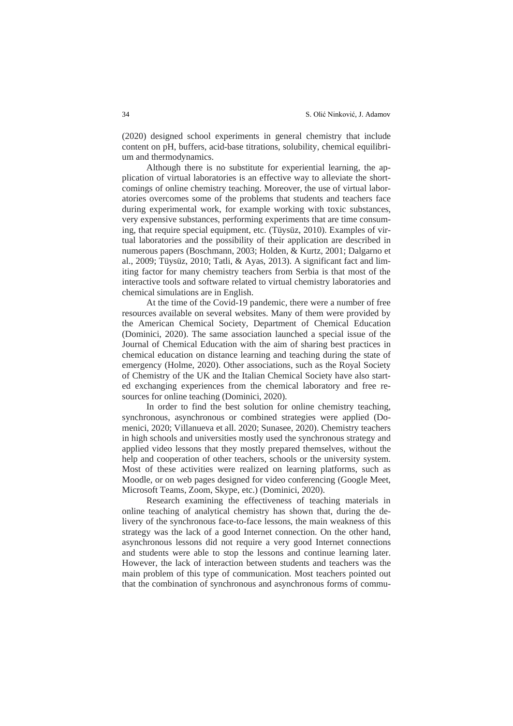(2020) designed school experiments in general chemistry that include content on pH, buffers, acid-base titrations, solubility, chemical equilibrium and thermodynamics.

Although there is no substitute for experiential learning, the application of virtual laboratories is an effective way to alleviate the shortcomings of online chemistry teaching. Moreover, the use of virtual laboratories overcomes some of the problems that students and teachers face during experimental work, for example working with toxic substances, very expensive substances, performing experiments that are time consuming, that require special equipment, etc. (Tüysüz, 2010). Examples of virtual laboratories and the possibility of their application are described in numerous papers (Boschmann, 2003; Holden, & Kurtz, 2001; Dalgarno et al., 2009; Tüysüz, 2010; Tatli, & Ayas, 2013). A significant fact and limiting factor for many chemistry teachers from Serbia is that most of the interactive tools and software related to virtual chemistry laboratories and chemical simulations are in English.

At the time of the Covid-19 pandemic, there were a number of free resources available on several websites. Many of them were provided by the American Chemical Society, Department of Chemical Education (Dominici, 2020). The same association launched a special issue of the Journal of Chemical Education with the aim of sharing best practices in chemical education on distance learning and teaching during the state of emergency (Holme, 2020). Other associations, such as the Royal Society of Chemistry of the UK and the Italian Chemical Society have also started exchanging experiences from the chemical laboratory and free resources for online teaching (Dominici, 2020).

In order to find the best solution for online chemistry teaching, synchronous, asynchronous or combined strategies were applied (Domenici, 2020; Villanueva et all. 2020; Sunasee, 2020). Chemistry teachers in high schools and universities mostly used the synchronous strategy and applied video lessons that they mostly prepared themselves, without the help and cooperation of other teachers, schools or the university system. Most of these activities were realized on learning platforms, such as Moodle, or on web pages designed for video conferencing (Google Meet, Microsoft Teams, Zoom, Skype, etc.) (Dominici, 2020).

Research examining the effectiveness of teaching materials in online teaching of analytical chemistry has shown that, during the delivery of the synchronous face-to-face lessons, the main weakness of this strategy was the lack of a good Internet connection. On the other hand, asynchronous lessons did not require a very good Internet connections and students were able to stop the lessons and continue learning later. However, the lack of interaction between students and teachers was the main problem of this type of communication. Most teachers pointed out that the combination of synchronous and asynchronous forms of commu-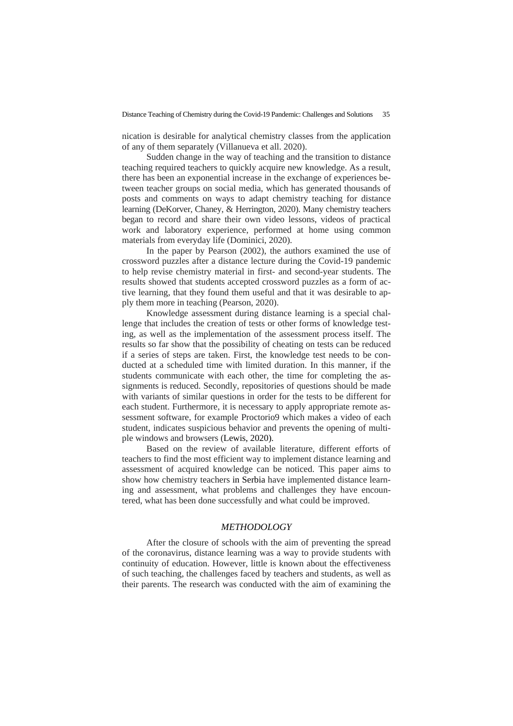nication is desirable for analytical chemistry classes from the application of any of them separately (Villanueva et all. 2020).

Sudden change in the way of teaching and the transition to distance teaching required teachers to quickly acquire new knowledge. As a result, there has been an exponential increase in the exchange of experiences between teacher groups on social media, which has generated thousands of posts and comments on ways to adapt chemistry teaching for distance learning (DeKorver, Chaney, & Herrington, 2020). Many chemistry teachers began to record and share their own video lessons, videos of practical work and laboratory experience, performed at home using common materials from everyday life (Dominici, 2020).

In the paper by Pearson (2002), the authors examined the use of crossword puzzles after a distance lecture during the Covid-19 pandemic to help revise chemistry material in first- and second-year students. The results showed that students accepted crossword puzzles as a form of active learning, that they found them useful and that it was desirable to apply them more in teaching (Pearson, 2020).

Knowledge assessment during distance learning is a special challenge that includes the creation of tests or other forms of knowledge testing, as well as the implementation of the assessment process itself. The results so far show that the possibility of cheating on tests can be reduced if a series of steps are taken. First, the knowledge test needs to be conducted at a scheduled time with limited duration. In this manner, if the students communicate with each other, the time for completing the assignments is reduced. Secondly, repositories of questions should be made with variants of similar questions in order for the tests to be different for each student. Furthermore, it is necessary to apply appropriate remote assessment software, for example Proctorio9 which makes a video of each student, indicates suspicious behavior and prevents the opening of multiple windows and browsers (Lewis, 2020).

Based on the review of available literature, different efforts of teachers to find the most efficient way to implement distance learning and assessment of acquired knowledge can be noticed. This paper aims to show how chemistry teachers in Serbia have implemented distance learning and assessment, what problems and challenges they have encountered, what has been done successfully and what could be improved.

### *METHODOLOGY*

After the closure of schools with the aim of preventing the spread of the coronavirus, distance learning was a way to provide students with continuity of education. However, little is known about the effectiveness of such teaching, the challenges faced by teachers and students, as well as their parents. The research was conducted with the aim of examining the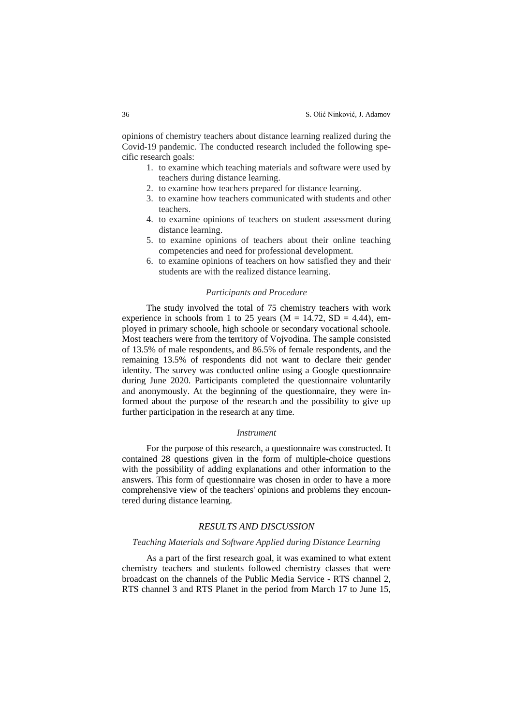opinions of chemistry teachers about distance learning realized during the Covid-19 pandemic. The conducted research included the following specific research goals:

- 1. to examine which teaching materials and software were used by teachers during distance learning.
- 2. to examine how teachers prepared for distance learning.
- 3. to examine how teachers communicated with students and other teachers.
- 4. to examine opinions of teachers on student assessment during distance learning.
- 5. to examine opinions of teachers about their online teaching competencies and need for professional development.
- 6. to examine opinions of teachers on how satisfied they and their students are with the realized distance learning.

### *Participants and Procedure*

The study involved the total of 75 chemistry teachers with work experience in schools from 1 to 25 years ( $M = 14.72$ ,  $SD = 4.44$ ), employed in primary schoole, high schoole or secondary vocational schoole. Most teachers were from the territory of Vojvodina. The sample consisted of 13.5% of male respondents, and 86.5% of female respondents, and the remaining 13.5% of respondents did not want to declare their gender identity. The survey was conducted online using a Google questionnaire during June 2020. Participants completed the questionnaire voluntarily and anonymously. At the beginning of the questionnaire, they were informed about the purpose of the research and the possibility to give up further participation in the research at any time.

#### *Instrument*

For the purpose of this research, a questionnaire was constructed. It contained 28 questions given in the form of multiple-choice questions with the possibility of adding explanations and other information to the answers. This form of questionnaire was chosen in order to have a more comprehensive view of the teachers' opinions and problems they encountered during distance learning.

## *RESULTS AND DISCUSSION*

### *Teaching Materials and Software Applied during Distance Learning*

As a part of the first research goal, it was examined to what extent chemistry teachers and students followed chemistry classes that were broadcast on the channels of the Public Media Service - RTS channel 2, RTS channel 3 and RTS Planet in the period from March 17 to June 15,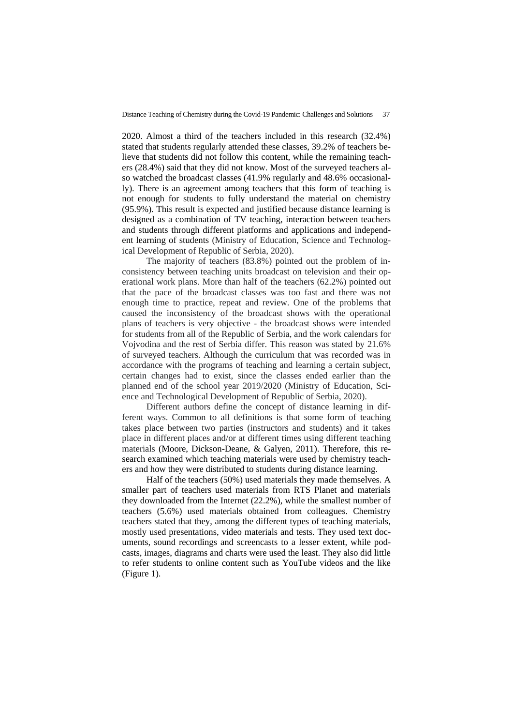2020. Almost a third of the teachers included in this research (32.4%) stated that students regularly attended these classes, 39.2% of teachers believe that students did not follow this content, while the remaining teachers (28.4%) said that they did not know. Most of the surveyed teachers also watched the broadcast classes (41.9% regularly and 48.6% occasionally). There is an agreement among teachers that this form of teaching is not enough for students to fully understand the material on chemistry (95.9%). This result is expected and justified because distance learning is designed as a combination of TV teaching, interaction between teachers and students through different platforms and applications and independent learning of students (Ministry of Education, Science and Technological Development of Republic of Serbia, 2020).

The majority of teachers (83.8%) pointed out the problem of inconsistency between teaching units broadcast on television and their operational work plans. More than half of the teachers (62.2%) pointed out that the pace of the broadcast classes was too fast and there was not enough time to practice, repeat and review. One of the problems that caused the inconsistency of the broadcast shows with the operational plans of teachers is very objective - the broadcast shows were intended for students from all of the Republic of Serbia, and the work calendars for Vojvodina and the rest of Serbia differ. This reason was stated by 21.6% of surveyed teachers. Although the curriculum that was recorded was in accordance with the programs of teaching and learning a certain subject, certain changes had to exist, since the classes ended earlier than the planned end of the school year 2019/2020 (Ministry of Education, Science and Technological Development of Republic of Serbia, 2020).

Different authors define the concept of distance learning in different ways. Common to all definitions is that some form of teaching takes place between two parties (instructors and students) and it takes place in different places and/or at different times using different teaching materials (Moore, Dickson-Deane, & Galyen, 2011). Therefore, this research examined which teaching materials were used by chemistry teachers and how they were distributed to students during distance learning.

Half of the teachers (50%) used materials they made themselves. A smaller part of teachers used materials from RTS Planet and materials they downloaded from the Internet (22.2%), while the smallest number of teachers (5.6%) used materials obtained from colleagues. Chemistry teachers stated that they, among the different types of teaching materials, mostly used presentations, video materials and tests. They used text documents, sound recordings and screencasts to a lesser extent, while podcasts, images, diagrams and charts were used the least. They also did little to refer students to online content such as YouTube videos and the like (Figure 1).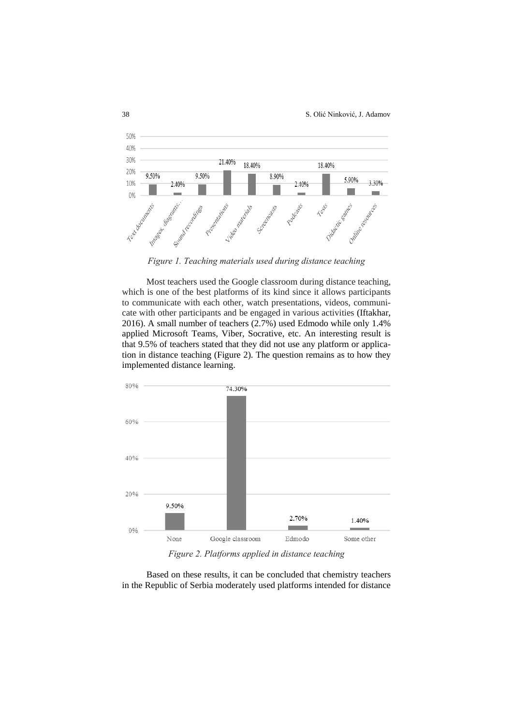38 S. Olić Ninković, J. Adamov



*Figure 1. Teaching materials used during distance teaching*

Most teachers used the Google classroom during distance teaching, which is one of the best platforms of its kind since it allows participants to communicate with each other, watch presentations, videos, communicate with other participants and be engaged in various activities (Iftakhar, 2016). A small number of teachers (2.7%) used Edmodo while only 1.4% applied Microsoft Teams, Viber, Socrative, etc. An interesting result is that 9.5% of teachers stated that they did not use any platform or application in distance teaching (Figure 2). The question remains as to how they implemented distance learning.



*Figure 2. Platforms applied in distance teaching*

Based on these results, it can be concluded that chemistry teachers in the Republic of Serbia moderately used platforms intended for distance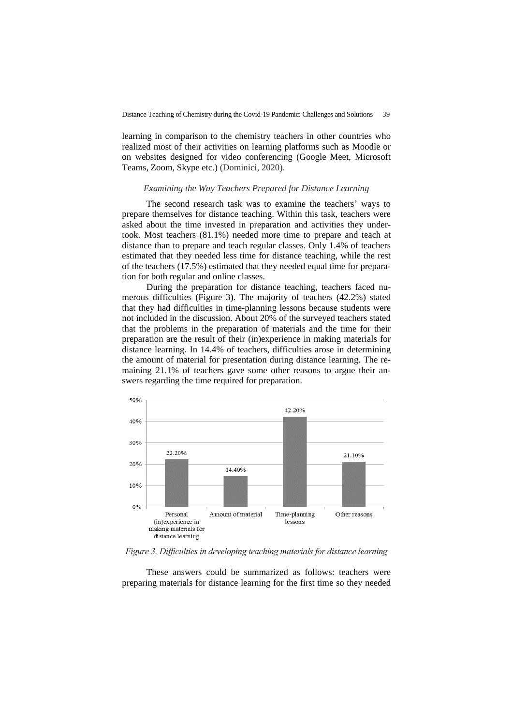learning in comparison to the chemistry teachers in other countries who realized most of their activities on learning platforms such as Moodle or on websites designed for video conferencing (Google Meet, Microsoft Teams, Zoom, Skype etc.) (Dominici, 2020).

#### *Examining the Way Teachers Prepared for Distance Learning*

The second research task was to examine the teachers' ways to prepare themselves for distance teaching. Within this task, teachers were asked about the time invested in preparation and activities they undertook. Most teachers (81.1%) needed more time to prepare and teach at distance than to prepare and teach regular classes. Only 1.4% of teachers estimated that they needed less time for distance teaching, while the rest of the teachers (17.5%) estimated that they needed equal time for preparation for both regular and online classes.

During the preparation for distance teaching, teachers faced numerous difficulties (Figure 3). The majority of teachers (42.2%) stated that they had difficulties in time-planning lessons because students were not included in the discussion. About 20% of the surveyed teachers stated that the problems in the preparation of materials and the time for their preparation are the result of their (in)experience in making materials for distance learning. In 14.4% of teachers, difficulties arose in determining the amount of material for presentation during distance learning. The remaining 21.1% of teachers gave some other reasons to argue their answers regarding the time required for preparation.



*Figure 3. Difficulties in developing teaching materials for distance learning*

These answers could be summarized as follows: teachers were preparing materials for distance learning for the first time so they needed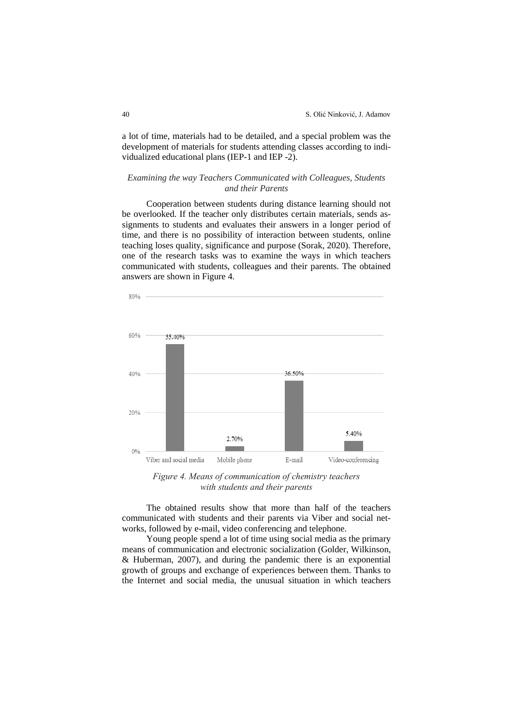a lot of time, materials had to be detailed, and a special problem was the development of materials for students attending classes according to individualized educational plans (IEP-1 and IEP -2).

## *Examining the way Teachers Communicated with Colleagues, Students and their Parents*

Cooperation between students during distance learning should not be overlooked. If the teacher only distributes certain materials, sends assignments to students and evaluates their answers in a longer period of time, and there is no possibility of interaction between students, online teaching loses quality, significance and purpose (Sorak, 2020). Therefore, one of the research tasks was to examine the ways in which teachers communicated with students, colleagues and their parents. The obtained answers are shown in Figure 4.



*Figure 4. Means of communication of chemistry teachers with students and their parents*

The obtained results show that more than half of the teachers communicated with students and their parents via Viber and social networks, followed by e-mail, video conferencing and telephone.

Young people spend a lot of time using social media as the primary means of communication and electronic socialization (Golder, Wilkinson, & Huberman, 2007), and during the pandemic there is an exponential growth of groups and exchange of experiences between them. Thanks to the Internet and social media, the unusual situation in which teachers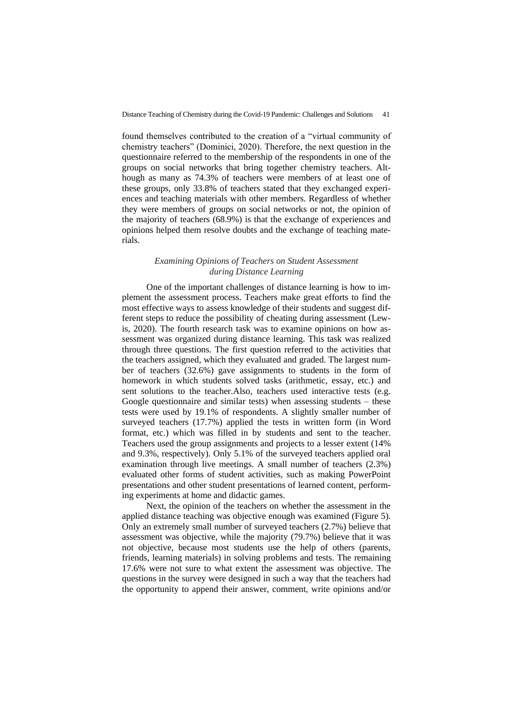found themselves contributed to the creation of a "virtual community of chemistry teachers" (Dominici, 2020). Therefore, the next question in the questionnaire referred to the membership of the respondents in one of the groups on social networks that bring together chemistry teachers. Although as many as 74.3% of teachers were members of at least one of these groups, only 33.8% of teachers stated that they exchanged experiences and teaching materials with other members. Regardless of whether they were members of groups on social networks or not, the opinion of the majority of teachers (68.9%) is that the exchange of experiences and opinions helped them resolve doubts and the exchange of teaching materials.

## *Examining Opinions of Teachers on Student Assessment during Distance Learning*

One of the important challenges of distance learning is how to implement the assessment process. Teachers make great efforts to find the most effective ways to assess knowledge of their students and suggest different steps to reduce the possibility of cheating during assessment (Lewis, 2020). The fourth research task was to examine opinions on how assessment was organized during distance learning. This task was realized through three questions. The first question referred to the activities that the teachers assigned, which they evaluated and graded. The largest number of teachers (32.6%) gave assignments to students in the form of homework in which students solved tasks (arithmetic, essay, etc.) and sent solutions to the teacher.Also, teachers used interactive tests (e.g. Google questionnaire and similar tests) when assessing students – these tests were used by 19.1% of respondents. A slightly smaller number of surveyed teachers (17.7%) applied the tests in written form (in Word format, etc.) which was filled in by students and sent to the teacher. Teachers used the group assignments and projects to a lesser extent (14% and 9.3%, respectively). Only 5.1% of the surveyed teachers applied oral examination through live meetings. A small number of teachers (2.3%) evaluated other forms of student activities, such as making PowerPoint presentations and other student presentations of learned content, performing experiments at home and didactic games.

Next, the opinion of the teachers on whether the assessment in the applied distance teaching was objective enough was examined (Figure 5). Only an extremely small number of surveyed teachers (2.7%) believe that assessment was objective, while the majority (79.7%) believe that it was not objective, because most students use the help of others (parents, friends, learning materials) in solving problems and tests. The remaining 17.6% were not sure to what extent the assessment was objective. The questions in the survey were designed in such a way that the teachers had the opportunity to append their answer, comment, write opinions and/or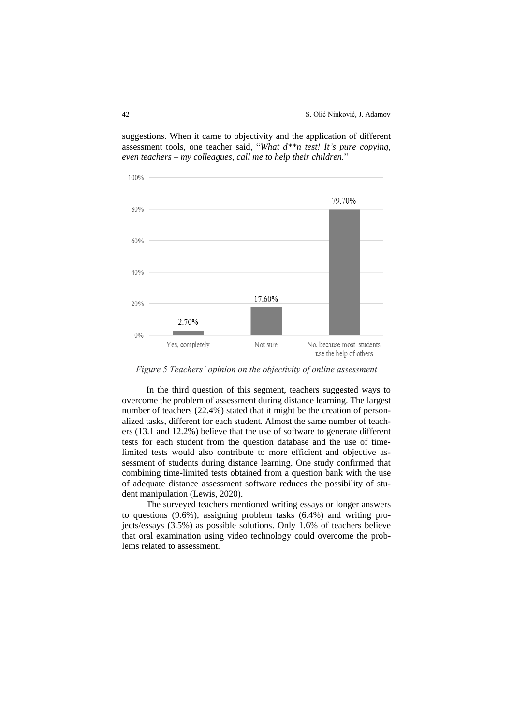

suggestions. When it came to objectivity and the application of different assessment tools, one teacher said, "*What d\*\*n test! It's pure copying, even teachers – my colleagues, call me to help their children.*"

*Figure 5 Teachers' opinion on the objectivity of online assessment*

In the third question of this segment, teachers suggested ways to overcome the problem of assessment during distance learning. The largest number of teachers (22.4%) stated that it might be the creation of personalized tasks, different for each student. Almost the same number of teachers (13.1 and 12.2%) believe that the use of software to generate different tests for each student from the question database and the use of timelimited tests would also contribute to more efficient and objective assessment of students during distance learning. One study confirmed that combining time-limited tests obtained from a question bank with the use of adequate distance assessment software reduces the possibility of student manipulation (Lewis, 2020).

The surveyed teachers mentioned writing essays or longer answers to questions (9.6%), assigning problem tasks (6.4%) and writing projects/essays (3.5%) as possible solutions. Only 1.6% of teachers believe that oral examination using video technology could overcome the problems related to assessment.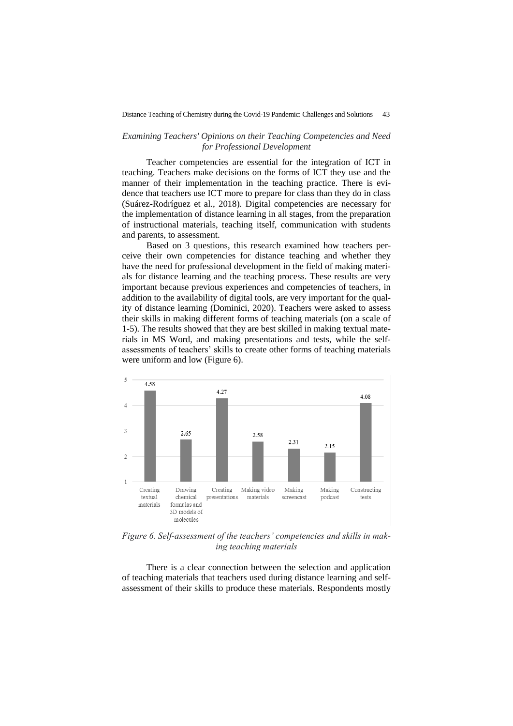## *Examining Teachers' Opinions on their Teaching Competencies and Need for Professional Development*

Teacher competencies are essential for the integration of ICT in teaching. Teachers make decisions on the forms of ICT they use and the manner of their implementation in the teaching practice. There is evidence that teachers use ICT more to prepare for class than they do in class (Suárez-Rodríguez et al., 2018). Digital competencies are necessary for the implementation of distance learning in all stages, from the preparation of instructional materials, teaching itself, communication with students and parents, to assessment.

Based on 3 questions, this research examined how teachers perceive their own competencies for distance teaching and whether they have the need for professional development in the field of making materials for distance learning and the teaching process. These results are very important because previous experiences and competencies of teachers, in addition to the availability of digital tools, are very important for the quality of distance learning (Dominici, 2020). Teachers were asked to assess their skills in making different forms of teaching materials (on a scale of 1-5). The results showed that they are best skilled in making textual materials in MS Word, and making presentations and tests, while the selfassessments of teachers' skills to create other forms of teaching materials were uniform and low (Figure 6).



*Figure 6. Self-assessment of the teachers' competencies and skills in making teaching materials*

There is a clear connection between the selection and application of teaching materials that teachers used during distance learning and selfassessment of their skills to produce these materials. Respondents mostly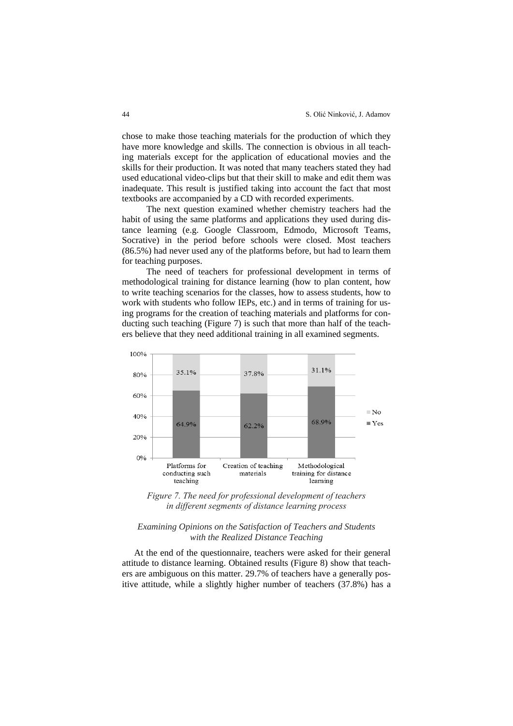chose to make those teaching materials for the production of which they have more knowledge and skills. The connection is obvious in all teaching materials except for the application of educational movies and the skills for their production. It was noted that many teachers stated they had used educational video-clips but that their skill to make and edit them was inadequate. This result is justified taking into account the fact that most textbooks are accompanied by a CD with recorded experiments.

The next question examined whether chemistry teachers had the habit of using the same platforms and applications they used during distance learning (e.g. Google Classroom, Edmodo, Microsoft Teams, Socrative) in the period before schools were closed. Most teachers (86.5%) had never used any of the platforms before, but had to learn them for teaching purposes.

The need of teachers for professional development in terms of methodological training for distance learning (how to plan content, how to write teaching scenarios for the classes, how to assess students, how to work with students who follow IEPs, etc.) and in terms of training for using programs for the creation of teaching materials and platforms for conducting such teaching (Figure 7) is such that more than half of the teachers believe that they need additional training in all examined segments.



*Figure 7. The need for professional development of teachers in different segments of distance learning process*

### *Examining Opinions on the Satisfaction of Teachers and Students with the Realized Distance Teaching*

At the end of the questionnaire, teachers were asked for their general attitude to distance learning. Obtained results (Figure 8) show that teachers are ambiguous on this matter. 29.7% of teachers have a generally positive attitude, while a slightly higher number of teachers (37.8%) has a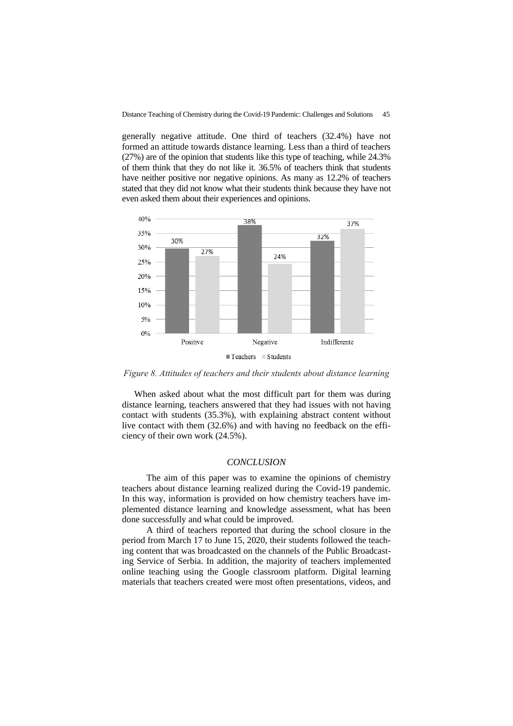generally negative attitude. One third of teachers (32.4%) have not formed an attitude towards distance learning. Less than a third of teachers (27%) are of the opinion that students like this type of teaching, while 24.3% of them think that they do not like it. 36.5% of teachers think that students have neither positive nor negative opinions. As many as 12.2% of teachers stated that they did not know what their students think because they have not even asked them about their experiences and opinions.



*Figure 8. Attitudes of teachers and their students about distance learning*

When asked about what the most difficult part for them was during distance learning, teachers answered that they had issues with not having contact with students (35.3%), with explaining abstract content without live contact with them (32.6%) and with having no feedback on the efficiency of their own work (24.5%).

### *CONCLUSION*

The aim of this paper was to examine the opinions of chemistry teachers about distance learning realized during the Covid-19 pandemic. In this way, information is provided on how chemistry teachers have implemented distance learning and knowledge assessment, what has been done successfully and what could be improved.

A third of teachers reported that during the school closure in the period from March 17 to June 15, 2020, their students followed the teaching content that was broadcasted on the channels of the Public Broadcasting Service of Serbia. In addition, the majority of teachers implemented online teaching using the Google classroom platform. Digital learning materials that teachers created were most often presentations, videos, and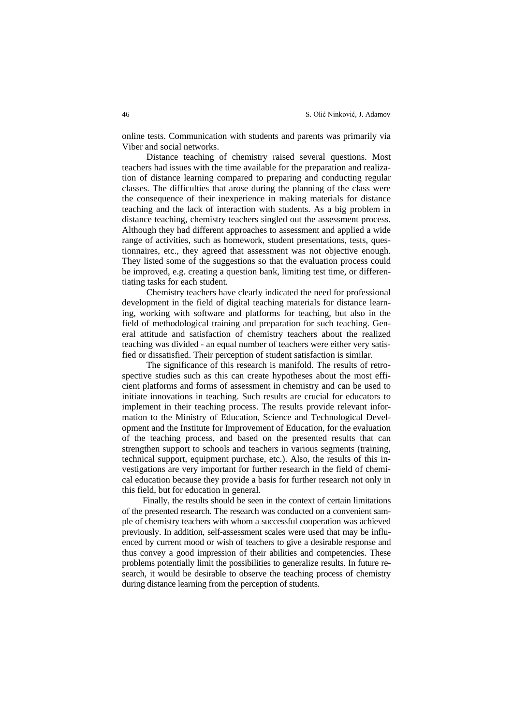online tests. Communication with students and parents was primarily via Viber and social networks.

Distance teaching of chemistry raised several questions. Most teachers had issues with the time available for the preparation and realization of distance learning compared to preparing and conducting regular classes. The difficulties that arose during the planning of the class were the consequence of their inexperience in making materials for distance teaching and the lack of interaction with students. As a big problem in distance teaching, chemistry teachers singled out the assessment process. Although they had different approaches to assessment and applied a wide range of activities, such as homework, student presentations, tests, questionnaires, etc., they agreed that assessment was not objective enough. They listed some of the suggestions so that the evaluation process could be improved, e.g. creating a question bank, limiting test time, or differentiating tasks for each student.

Chemistry teachers have clearly indicated the need for professional development in the field of digital teaching materials for distance learning, working with software and platforms for teaching, but also in the field of methodological training and preparation for such teaching. General attitude and satisfaction of chemistry teachers about the realized teaching was divided - an equal number of teachers were either very satisfied or dissatisfied. Their perception of student satisfaction is similar.

The significance of this research is manifold. The results of retrospective studies such as this can create hypotheses about the most efficient platforms and forms of assessment in chemistry and can be used to initiate innovations in teaching. Such results are crucial for educators to implement in their teaching process. The results provide relevant information to the Ministry of Education, Science and Technological Development and the Institute for Improvement of Education, for the evaluation of the teaching process, and based on the presented results that can strengthen support to schools and teachers in various segments (training, technical support, equipment purchase, etc.). Also, the results of this investigations are very important for further research in the field of chemical education because they provide a basis for further research not only in this field, but for education in general.

Finally, the results should be seen in the context of certain limitations of the presented research. The research was conducted on a convenient sample of chemistry teachers with whom a successful cooperation was achieved previously. In addition, self-assessment scales were used that may be influenced by current mood or wish of teachers to give a desirable response and thus convey a good impression of their abilities and competencies. These problems potentially limit the possibilities to generalize results. In future research, it would be desirable to observe the teaching process of chemistry during distance learning from the perception of students.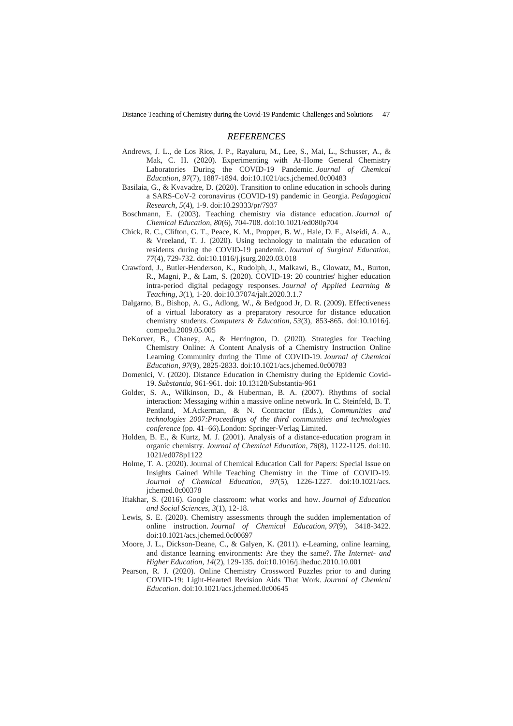#### *REFERENCES*

- Andrews, J. L., de Los Rios, J. P., Rayaluru, M., Lee, S., Mai, L., Schusser, A., & Mak, C. H. (2020). Experimenting with At-Home General Chemistry Laboratories During the COVID-19 Pandemic. *Journal of Chemical Education*, *97*(7), 1887-1894. [doi:10.1021/acs.jchemed.0c00483](https://doi.org/10.1021/acs.jchemed.0c00483)
- Basilaia, G., & Kvavadze, D. (2020). Transition to online education in schools during a SARS-CoV-2 coronavirus (COVID-19) pandemic in Georgia. *Pedagogical Research*, *5*(4), 1-9. [doi:10.29333/pr/7937](https://doi.org/10.29333/pr/7937)
- Boschmann, E. (2003). Teaching chemistry via distance education. *Journal of Chemical Education*, *80*(6), 704-708. [doi:10.1021/ed080p704](https://doi.org/10.1021/ed080p704)
- Chick, R. C., Clifton, G. T., Peace, K. M., Propper, B. W., Hale, D. F., Alseidi, A. A., & Vreeland, T. J. (2020). Using technology to maintain the education of residents during the COVID-19 pandemic. *Journal of Surgical Education*, *77*(4), 729-732. do[i:10.1016/j.jsurg.2020.03.018](https://dx.doi.org/10.1016%2Fj.jsurg.2020.03.018)
- Crawford, J., Butler-Henderson, K., Rudolph, J., Malkawi, B., Glowatz, M., Burton, R., Magni, P., & Lam, S. (2020). COVID-19: 20 countries' higher education intra-period digital pedagogy responses. *Journal of Applied Learning & Teaching*, *3*(1), 1-20. do[i:10.37074/jalt.2020.3.1.7](http://dx.doi.org/10.37074/jalt.2020.3.1.7)
- Dalgarno, B., Bishop, A. G., Adlong, W., & Bedgood Jr, D. R. (2009). Effectiveness of a virtual laboratory as a preparatory resource for distance education chemistry students. *Computers & Education*, *53*(3), 853-865. doi:10.1016/j. compedu.2009.05.005
- DeKorver, B., Chaney, A., & Herrington, D. (2020). Strategies for Teaching Chemistry Online: A Content Analysis of a Chemistry Instruction Online Learning Community during the Time of COVID-19. *Journal of Chemical Education*, *97*(9), 2825-2833. [doi:10.1021/acs.jchemed.0c00783](https://doi.org/10.1021/acs.jchemed.0c00783)
- Domenici, V. (2020). Distance Education in Chemistry during the Epidemic Covid-19. *Substantia*, 961-961. doi: 10.13128/Substantia-961
- Golder, S. A., Wilkinson, D., & Huberman, B. A. (2007). Rhythms of social interaction: Messaging within a massive online network. In C. Steinfeld, B. T. Pentland, M.Ackerman, & N. Contractor (Eds.), *Communities and technologies 2007:Proceedings of the third communities and technologies conference* (pp. 41–66).London: Springer-Verlag Limited.
- Holden, B. E., & Kurtz, M. J. (2001). Analysis of a distance-education program in organic chemistry. *Journal of Chemical Education*, *78*(8), 1122-1125. doi[:10.](https://doi.org/10.1021/ed078p1122) [1021/ed078p1122](https://doi.org/10.1021/ed078p1122)
- Holme, T. A. (2020). Journal of Chemical Education Call for Papers: Special Issue on Insights Gained While Teaching Chemistry in the Time of COVID-19. *Journal of Chemical Education, 97*(5), 1226-1227. [doi:10.1021/acs.](https://doi.org/10.1021/acs.jchemed.0c00378) [jchemed.0c00378](https://doi.org/10.1021/acs.jchemed.0c00378)
- Iftakhar, S. (2016). Google classroom: what works and how. *Journal of Education and Social Sciences*, *3*(1), 12-18.
- Lewis, S. E. (2020). Chemistry assessments through the sudden implementation of online instruction. *Journal of Chemical Education*, *97*(9), 3418-3422. [doi:10.1021/acs.jchemed.0c00697](https://doi.org/10.1021/acs.jchemed.0c00697)
- Moore, J. L., Dickson-Deane, C., & Galyen, K. (2011). e-Learning, online learning, and distance learning environments: Are they the same?. *The Internet- and Higher Education*, *14*(2), 129-135. doi:10.1016/j.iheduc.2010.10.001
- Pearson, R. J. (2020). Online Chemistry Crossword Puzzles prior to and during COVID-19: Light-Hearted Revision Aids That Work. *Journal of Chemical Education*. [doi:10.1021/acs.jchemed.0c00645](https://doi.org/10.1021/acs.jchemed.0c00645)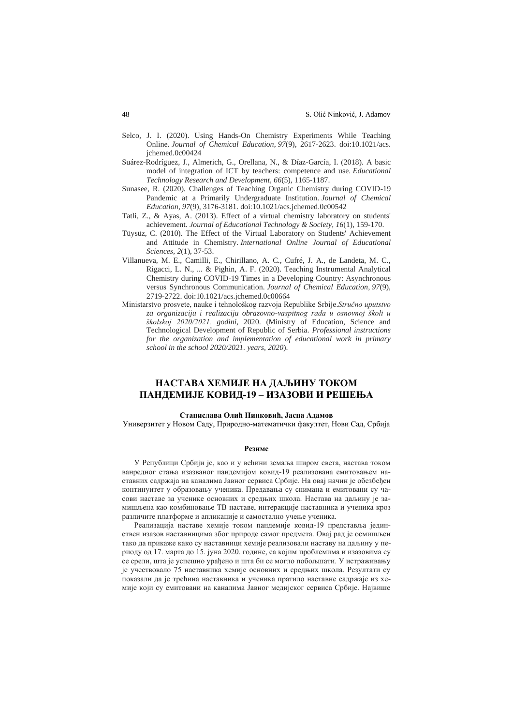- Selco, J. I. (2020). Using Hands-On Chemistry Experiments While Teaching Online. *Journal of Chemical Education*, *97*(9), 2617-2623. [doi:10.1021/acs.](https://doi.org/10.1021/acs.jchemed.0c00424) [jchemed.0c00424](https://doi.org/10.1021/acs.jchemed.0c00424)
- Suárez-Rodríguez, J., Almerich, G., Orellana, N., & Díaz-García, I. (2018). A basic model of integration of ICT by teachers: competence and use. *Educational Technology Research and Development*, *66*(5), 1165-1187.
- Sunasee, R. (2020). Challenges of Teaching Organic Chemistry during COVID-19 Pandemic at a Primarily Undergraduate Institution. *Journal of Chemical Education*, *97*(9), 3176-3181. doi[:10.1021/acs.jchemed.0c00542](https://doi.org/10.1021/acs.jchemed.0c00542)
- Tatli, Z., & Ayas, A. (2013). Effect of a virtual chemistry laboratory on students' achievement. *Journal of Educational Technology & Society*, *16*(1), 159-170.
- Tüysüz, C. (2010). The Effect of the Virtual Laboratory on Students' Achievement and Attitude in Chemistry. *International Online Journal of Educational Sciences*, *2*(1), 37-53.
- Villanueva, M. E., Camilli, E., Chirillano, A. C., Cufré, J. A., de Landeta, M. C., Rigacci, L. N., ... & Pighin, A. F. (2020). Teaching Instrumental Analytical Chemistry during COVID-19 Times in a Developing Country: Asynchronous versus Synchronous Communication. *Journal of Chemical Education*, *97*(9), 2719-2722. [doi:10.1021/acs.jchemed.0c00664](https://doi.org/10.1021/acs.jchemed.0c00664)
- Ministarstvo prosvete, nauke i tehnološkog razvoja Republike Srbije.*Stručno uputstvo za organizaciju i realizaciju obrazovno-vaspitnog rada u osnovnoj školi u školskoj 2020/2021. godini,* 2020. (Ministry of Education, Science and Technological Development of Republic of Serbia. *Professional instructions for the organization and implementation of educational work in primary school in the school 2020/2021. years, 2020*).

## **НАСТАВА ХЕМИЈЕ НА ДАЉИНУ ТОКОМ ПАНДЕМИЈЕ KОВИД-19 – ИЗАЗОВИ И РЕШЕЊА**

#### **Станислава Олић Нинковић, Јасна Адамов**

Универзитет у Новом Саду, Природно-математички факултет, Нови Сад, Србија

#### **Резиме**

У Републици Србији је, као и у већини земаља широм света, настава током ванредног стања изазваног пандемијом ковид-19 реализована емитовањем наставних садржаја на каналима Јавног сервиса Србије. На овај начин је обезбеђен континуитет у образовању ученика. Предавања су снимана и емитовани су часови наставе за ученике основних и средњих школа. Настава на даљину је замишљена као комбиновање ТВ наставе, интеракције наставника и ученика кроз различите платформе и апликације и самостално учење ученика.

Реализација наставе хемије током пандемије ковид-19 представља јединствен изазов наставницима због природе самог предмета. Овај рад је осмишљен тако да прикаже како су наставници хемије реализовали наставу на даљину у периоду од 17. марта до 15. јуна 2020. године, са којим проблемима и изазовима су се срели, шта је успешно урађено и шта би се могло побољшати. У истраживању је учествовало 75 наставника хемије основних и средњих школа. Резултати су показали да је трећина наставника и ученика пратило наставне садржаје из хемије који су емитовани на каналима Јавног медијског сервиса Србије. Највише